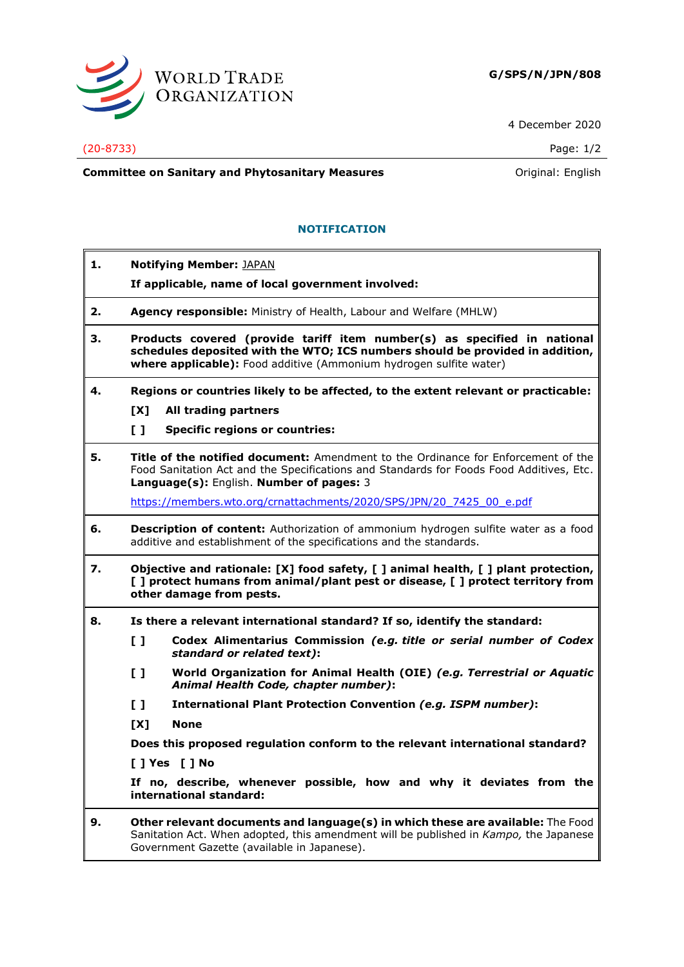

4 December 2020

## (20-8733) Page: 1/2

**Committee on Sanitary and Phytosanitary Measures Committee on Sanitary and Phytosanitary Measures Committee And American** 

## **NOTIFICATION**

**1. Notifying Member:** JAPAN **If applicable, name of local government involved: 2. Agency responsible:** Ministry of Health, Labour and Welfare (MHLW) **3. Products covered (provide tariff item number(s) as specified in national schedules deposited with the WTO; ICS numbers should be provided in addition, where applicable):** Food additive (Ammonium hydrogen sulfite water) **4. Regions or countries likely to be affected, to the extent relevant or practicable: [X] All trading partners [ ] Specific regions or countries: 5. Title of the notified document:** Amendment to the Ordinance for Enforcement of the Food Sanitation Act and the Specifications and Standards for Foods Food Additives, Etc. **Language(s):** English. **Number of pages:** 3 [https://members.wto.org/crnattachments/2020/SPS/JPN/20\\_7425\\_00\\_e.pdf](https://members.wto.org/crnattachments/2020/SPS/JPN/20_7425_00_e.pdf) **6. Description of content:** Authorization of ammonium hydrogen sulfite water as a food additive and establishment of the specifications and the standards. **7. Objective and rationale: [X] food safety, [ ] animal health, [ ] plant protection, [ ] protect humans from animal/plant pest or disease, [ ] protect territory from other damage from pests. 8. Is there a relevant international standard? If so, identify the standard: [ ] Codex Alimentarius Commission** *(e.g. title or serial number of Codex standard or related text)***: [ ] World Organization for Animal Health (OIE)** *(e.g. Terrestrial or Aquatic Animal Health Code, chapter number)***: [ ] International Plant Protection Convention** *(e.g. ISPM number)***: [X] None Does this proposed regulation conform to the relevant international standard? [ ] Yes [ ] No If no, describe, whenever possible, how and why it deviates from the international standard: 9. Other relevant documents and language(s) in which these are available:** The Food Sanitation Act. When adopted, this amendment will be published in *Kampo,* the Japanese Government Gazette (available in Japanese).